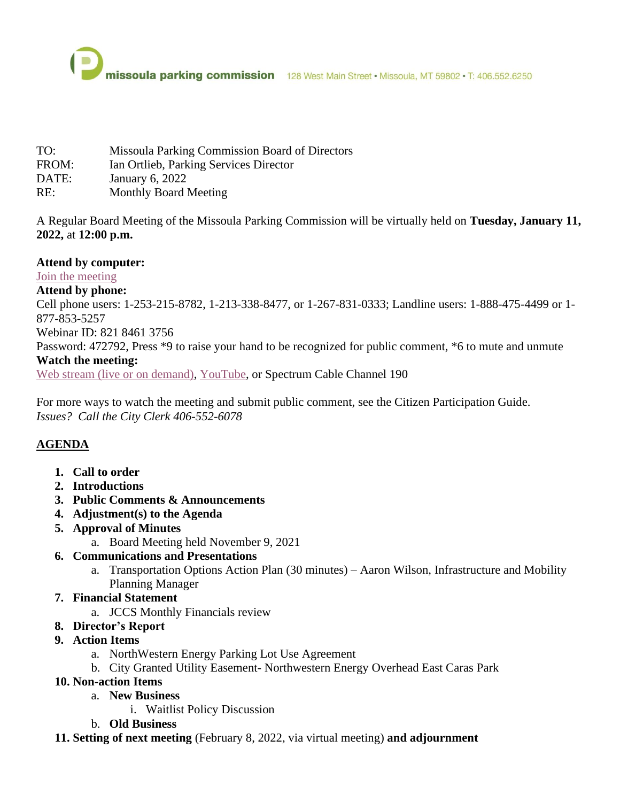

- TO: Missoula Parking Commission Board of Directors
- FROM: Ian Ortlieb, Parking Services Director
- DATE: January 6, 2022
- RE: Monthly Board Meeting

A Regular Board Meeting of the Missoula Parking Commission will be virtually held on **Tuesday, January 11, 2022,** at **12:00 p.m.**

## **Attend by computer:**

[Join the meeting](https://ci-missoula-mt.zoom.us/j/82184613756?pwd=V3lnS3VBK05GNFMvc1RlY2FuRCsxQT09)

## **Attend by phone:**

Cell phone users: 1-253-215-8782, 1-213-338-8477, or 1-267-831-0333; Landline users: 1-888-475-4499 or 1- 877-853-5257

#### Webinar ID: 821 8461 3756

Password: 472792, Press \*9 to raise your hand to be recognized for public comment, \*6 to mute and unmute

#### **Watch the meeting:**

[Web stream \(live or on demand\),](https://www.ci.missoula.mt.us/webcasts) [YouTube,](https://www.youtube.com/c/CityofMissoulaOfficial) or Spectrum Cable Channel 190

For more ways to watch the meeting and submit public comment, see the Citizen Participation Guide. *Issues? Call the City Clerk 406-552-6078*

# **AGENDA**

- **1. Call to order**
- **2. Introductions**
- **3. Public Comments & Announcements**
- **4. Adjustment(s) to the Agenda**
- **5. Approval of Minutes**
	- a. Board Meeting held November 9, 2021

### **6. Communications and Presentations**

a. Transportation Options Action Plan (30 minutes) – Aaron Wilson, Infrastructure and Mobility Planning Manager

### **7. Financial Statement**

a. JCCS Monthly Financials review

### **8. Director's Report**

- **9. Action Items**
	- a. NorthWestern Energy Parking Lot Use Agreement
	- b. City Granted Utility Easement- Northwestern Energy Overhead East Caras Park

# **10. Non-action Items**

- a. **New Business**
	- i. Waitlist Policy Discussion
- b. **Old Business**
- **11. Setting of next meeting** (February 8, 2022, via virtual meeting) **and adjournment**